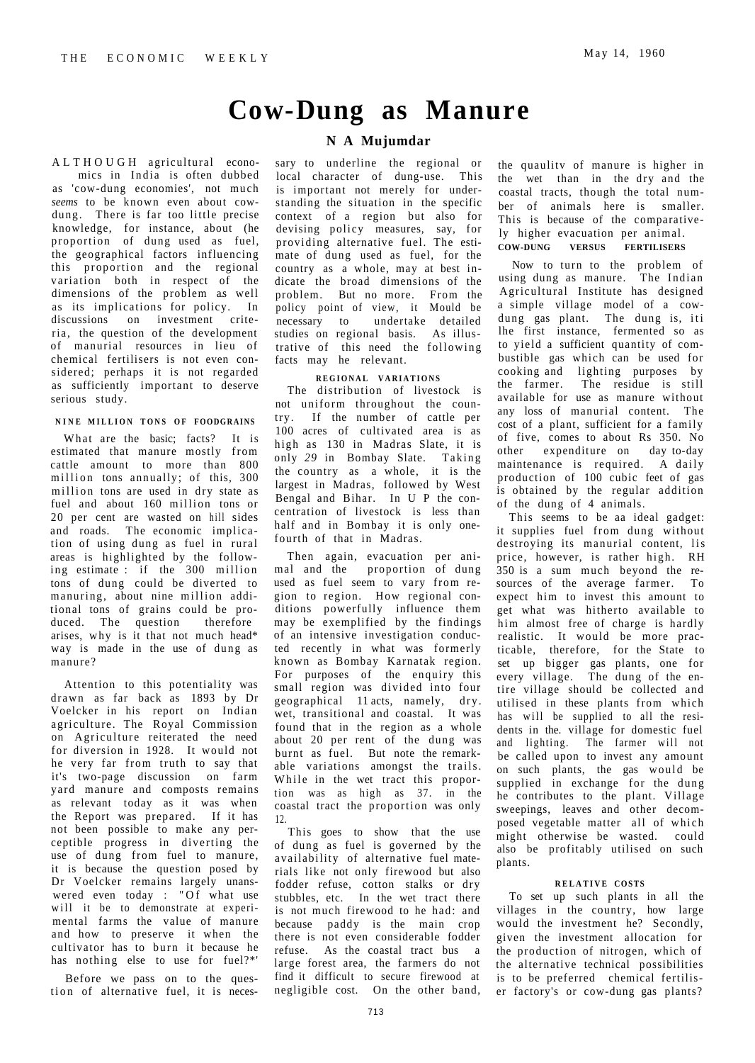# **Cow-Dung as Manure**

# **N A Mujumdar**

ALTHOUGH agricultural economics in India is often dubbed as 'cow-dung economies', not much *seems* to be known even about cowdung. There is far too little precise knowledge, for instance, about (he proportion of dung used as fuel, the geographical factors influencing this proportion and the regional variation both in respect of the dimensions of the problem as well as its implications for policy. In discussions on investment criteria , the question of the development of manurial resources in lieu of chemical fertilisers is not even considered; perhaps it is not regarded as sufficiently important to deserve serious study.

#### **NIN E MILLIO N TON S O F FOODGRAINS**

What are the basic; facts? It is estimated that manure mostly from cattle amount to more than 800 million tons annually; of this, 300 million tons are used in dry state as fuel and about 160 million tons or 20 per cent are wasted on hill sides and roads. The economic implication of using dung as fuel in rural areas is highlighted by the following estimate : if the 300 million tons of dung could be diverted to manuring, about nine million additional tons of grains could be produced. The question therefore arises, why is it that not much head\* way is made in the use of dung as manure?

Attention to this potentiality was drawn as far back as 1893 by Dr Voelcker in his report on Indian agriculture. The Royal Commission on Agriculture reiterated the need for diversion in 1928. It would not he very far from truth to say that it's two-page discussion on farm yard manure and composts remains as relevant today as it was when the Report was prepared. If it has not been possible to make any perceptible progress in diverting the use of dung from fuel to manure, it is because the question posed by Dr Voelcker remains largely unanswered even today : "Of what use will it be to demonstrate at experimental farms the value of manure and how to preserve it when the cultivator has to burn it because he has nothing else to use for fuel?\*'

Before we pass on to the question of alternative fuel, it is necessary to underline the regional or local character of dung-use. This is important not merely for understanding the situation in the specific context of a region but also for devising policy measures, say, for providing alternative fuel. The estimate of dung used as fuel, for the country as a whole, may at best indicate the broad dimensions of the problem. But no more. From the policy point of view, it Mould be necessary to undertake detailed studies on regional basis. As illustrative of this need the following facts may he relevant.

#### **REGIONA L VARIATION S**

The distribution of livestock is not uniform throughout the country. If the number of cattle per 100 acres of cultivated area is as high as 130 in Madras Slate, it is only 29 in Bombay Slate. Taking the country as a whole, it is the largest in Madras, followed by West Bengal and Bihar. In U P the concentration of livestock is less than half and in Bombay it is only onefourth of that in Madras.

Then again, evacuation per animal and the proportion of dung used as fuel seem to vary from region to region. How regional conditions powerfully influence them may be exemplified by the findings of an intensive investigation conducted recently in what was formerly known as Bombay Karnatak region. For purposes of the enquiry this small region was divided into four geographical 11 acts, namely, dry. wet, transitional and coastal. It was found that in the region as a whole about 20 per rent of the dung was burnt as fuel. But note the remarkable variations amongst the trails. While in the wet tract this proportion was as high as 37. in the coastal tract the proportion was only 12.

This goes to show that the use of dung as fuel is governed by the availability of alternative fuel materials like not only firewood but also fodder refuse, cotton stalks or dry stubbles, etc. In the wet tract there is not much firewood to he had: and because paddy is the main crop there is not even considerable fodder refuse. As the coastal tract bus a large forest area, the farmers do not find it difficult to secure firewood at negligible cost. On the other band, the quaulitv of manure is higher in the wet than in the dry and the coastal tracts, though the total number of animals here is smaller. This is because of the comparatively higher evacuation per animal. **COW-DUNG VERSUS FERTILISERS** 

Now to turn to the problem of using dung as manure. The Indian Agricultural Institute has designed a simple village model of a cowdung gas plant. The dung is, iti lhe first instance, fermented so as to yield a sufficient quantity of combustible gas which can be used for cooking and lighting purposes by the farmer. The residue is still available for use as manure without any loss of manurial content. The cost of a plant, sufficient for a family of five, comes to about Rs 350. No other expenditure on day to-day maintenance is required. A daily production of 100 cubic feet of gas is obtained by the regular addition of the dung of 4 animals.

This seems to be aa ideal gadget: it supplies fuel from dung without destroying its manurial content, lis price, however, is rather high. RH 350 is a sum much beyond the resources of the average farmer. To expect him to invest this amount to get what was hitherto available to him almost free of charge is hardly realistic. It would be more practicable, therefore, for the State to set up bigger gas plants, one for every village. The dung of the entire village should be collected and utilised in these plants from which has will be supplied to all the residents in the. village for domestic fuel and lighting. The farmer will not be called upon to invest any amount on such plants, the gas would be supplied in exchange for the dung he contributes to the plant. Village sweepings, leaves and other decomposed vegetable matter all of which might otherwise be wasted. could also be profitably utilised on such plants.

### **RELATIVE COSTS**

To set up such plants in all the villages in the country, how large would the investment he? Secondly, given the investment allocation for the production of nitrogen, which of the alternative technical possibilities is to be preferred chemical fertiliser factory's or cow-dung gas plants?